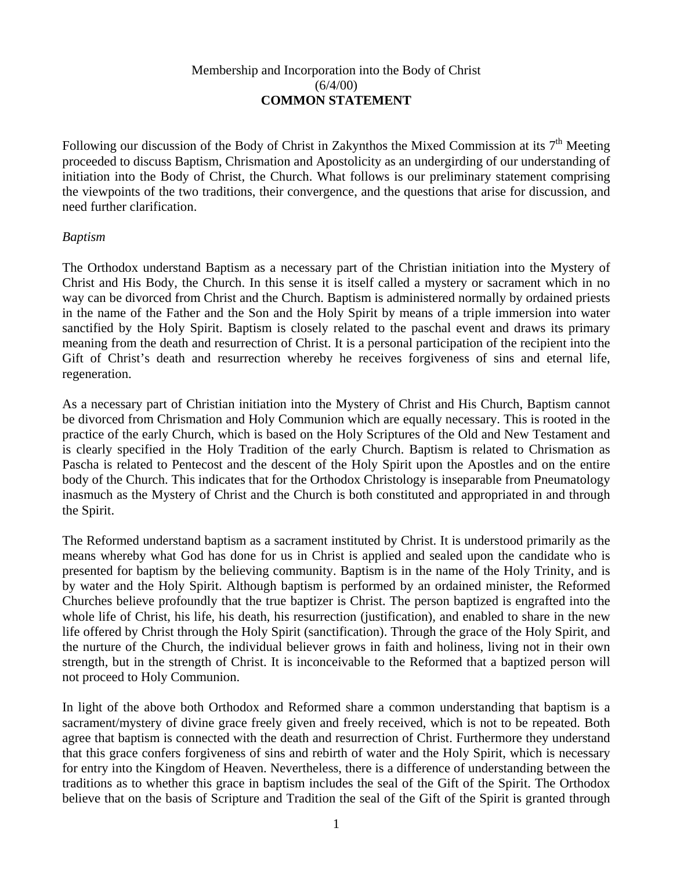## Membership and Incorporation into the Body of Christ  $(6/4/00)$ **COMMON STATEMENT**

Following our discussion of the Body of Christ in Zakynthos the Mixed Commission at its  $7<sup>th</sup>$  Meeting proceeded to discuss Baptism, Chrismation and Apostolicity as an undergirding of our understanding of initiation into the Body of Christ, the Church. What follows is our preliminary statement comprising the viewpoints of the two traditions, their convergence, and the questions that arise for discussion, and need further clarification.

## *Baptism*

The Orthodox understand Baptism as a necessary part of the Christian initiation into the Mystery of Christ and His Body, the Church. In this sense it is itself called a mystery or sacrament which in no way can be divorced from Christ and the Church. Baptism is administered normally by ordained priests in the name of the Father and the Son and the Holy Spirit by means of a triple immersion into water sanctified by the Holy Spirit. Baptism is closely related to the paschal event and draws its primary meaning from the death and resurrection of Christ. It is a personal participation of the recipient into the Gift of Christ's death and resurrection whereby he receives forgiveness of sins and eternal life, regeneration.

As a necessary part of Christian initiation into the Mystery of Christ and His Church, Baptism cannot be divorced from Chrismation and Holy Communion which are equally necessary. This is rooted in the practice of the early Church, which is based on the Holy Scriptures of the Old and New Testament and is clearly specified in the Holy Tradition of the early Church. Baptism is related to Chrismation as Pascha is related to Pentecost and the descent of the Holy Spirit upon the Apostles and on the entire body of the Church. This indicates that for the Orthodox Christology is inseparable from Pneumatology inasmuch as the Mystery of Christ and the Church is both constituted and appropriated in and through the Spirit.

The Reformed understand baptism as a sacrament instituted by Christ. It is understood primarily as the means whereby what God has done for us in Christ is applied and sealed upon the candidate who is presented for baptism by the believing community. Baptism is in the name of the Holy Trinity, and is by water and the Holy Spirit. Although baptism is performed by an ordained minister, the Reformed Churches believe profoundly that the true baptizer is Christ. The person baptized is engrafted into the whole life of Christ, his life, his death, his resurrection (justification), and enabled to share in the new life offered by Christ through the Holy Spirit (sanctification). Through the grace of the Holy Spirit, and the nurture of the Church, the individual believer grows in faith and holiness, living not in their own strength, but in the strength of Christ. It is inconceivable to the Reformed that a baptized person will not proceed to Holy Communion.

In light of the above both Orthodox and Reformed share a common understanding that baptism is a sacrament/mystery of divine grace freely given and freely received, which is not to be repeated. Both agree that baptism is connected with the death and resurrection of Christ. Furthermore they understand that this grace confers forgiveness of sins and rebirth of water and the Holy Spirit, which is necessary for entry into the Kingdom of Heaven. Nevertheless, there is a difference of understanding between the traditions as to whether this grace in baptism includes the seal of the Gift of the Spirit. The Orthodox believe that on the basis of Scripture and Tradition the seal of the Gift of the Spirit is granted through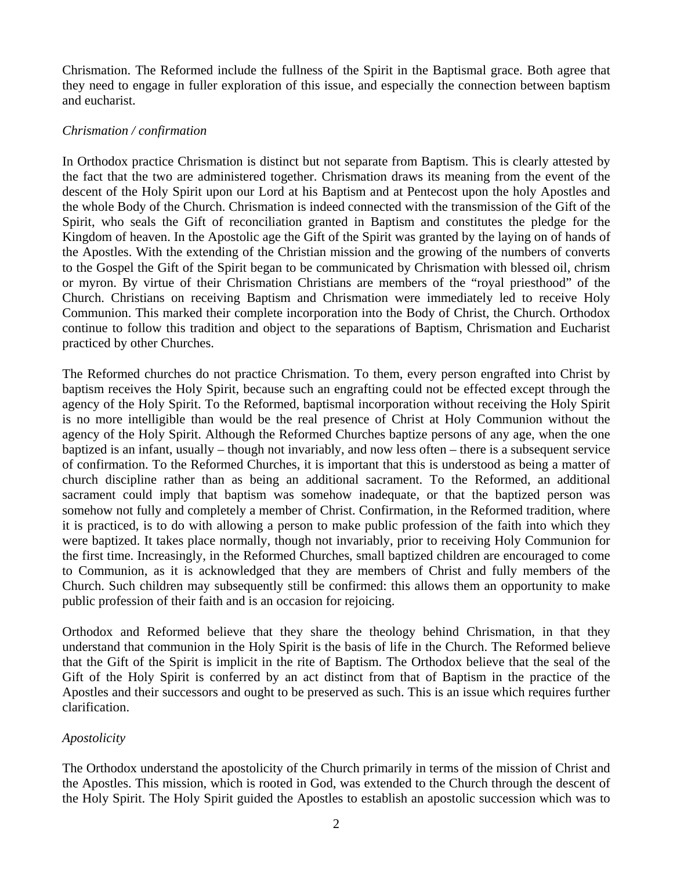Chrismation. The Reformed include the fullness of the Spirit in the Baptismal grace. Both agree that they need to engage in fuller exploration of this issue, and especially the connection between baptism and eucharist.

## *Chrismation / confirmation*

In Orthodox practice Chrismation is distinct but not separate from Baptism. This is clearly attested by the fact that the two are administered together. Chrismation draws its meaning from the event of the descent of the Holy Spirit upon our Lord at his Baptism and at Pentecost upon the holy Apostles and the whole Body of the Church. Chrismation is indeed connected with the transmission of the Gift of the Spirit, who seals the Gift of reconciliation granted in Baptism and constitutes the pledge for the Kingdom of heaven. In the Apostolic age the Gift of the Spirit was granted by the laying on of hands of the Apostles. With the extending of the Christian mission and the growing of the numbers of converts to the Gospel the Gift of the Spirit began to be communicated by Chrismation with blessed oil, chrism or myron. By virtue of their Chrismation Christians are members of the "royal priesthood" of the Church. Christians on receiving Baptism and Chrismation were immediately led to receive Holy Communion. This marked their complete incorporation into the Body of Christ, the Church. Orthodox continue to follow this tradition and object to the separations of Baptism, Chrismation and Eucharist practiced by other Churches.

The Reformed churches do not practice Chrismation. To them, every person engrafted into Christ by baptism receives the Holy Spirit, because such an engrafting could not be effected except through the agency of the Holy Spirit. To the Reformed, baptismal incorporation without receiving the Holy Spirit is no more intelligible than would be the real presence of Christ at Holy Communion without the agency of the Holy Spirit. Although the Reformed Churches baptize persons of any age, when the one baptized is an infant, usually – though not invariably, and now less often – there is a subsequent service of confirmation. To the Reformed Churches, it is important that this is understood as being a matter of church discipline rather than as being an additional sacrament. To the Reformed, an additional sacrament could imply that baptism was somehow inadequate, or that the baptized person was somehow not fully and completely a member of Christ. Confirmation, in the Reformed tradition, where it is practiced, is to do with allowing a person to make public profession of the faith into which they were baptized. It takes place normally, though not invariably, prior to receiving Holy Communion for the first time. Increasingly, in the Reformed Churches, small baptized children are encouraged to come to Communion, as it is acknowledged that they are members of Christ and fully members of the Church. Such children may subsequently still be confirmed: this allows them an opportunity to make public profession of their faith and is an occasion for rejoicing.

Orthodox and Reformed believe that they share the theology behind Chrismation, in that they understand that communion in the Holy Spirit is the basis of life in the Church. The Reformed believe that the Gift of the Spirit is implicit in the rite of Baptism. The Orthodox believe that the seal of the Gift of the Holy Spirit is conferred by an act distinct from that of Baptism in the practice of the Apostles and their successors and ought to be preserved as such. This is an issue which requires further clarification.

## *Apostolicity*

The Orthodox understand the apostolicity of the Church primarily in terms of the mission of Christ and the Apostles. This mission, which is rooted in God, was extended to the Church through the descent of the Holy Spirit. The Holy Spirit guided the Apostles to establish an apostolic succession which was to